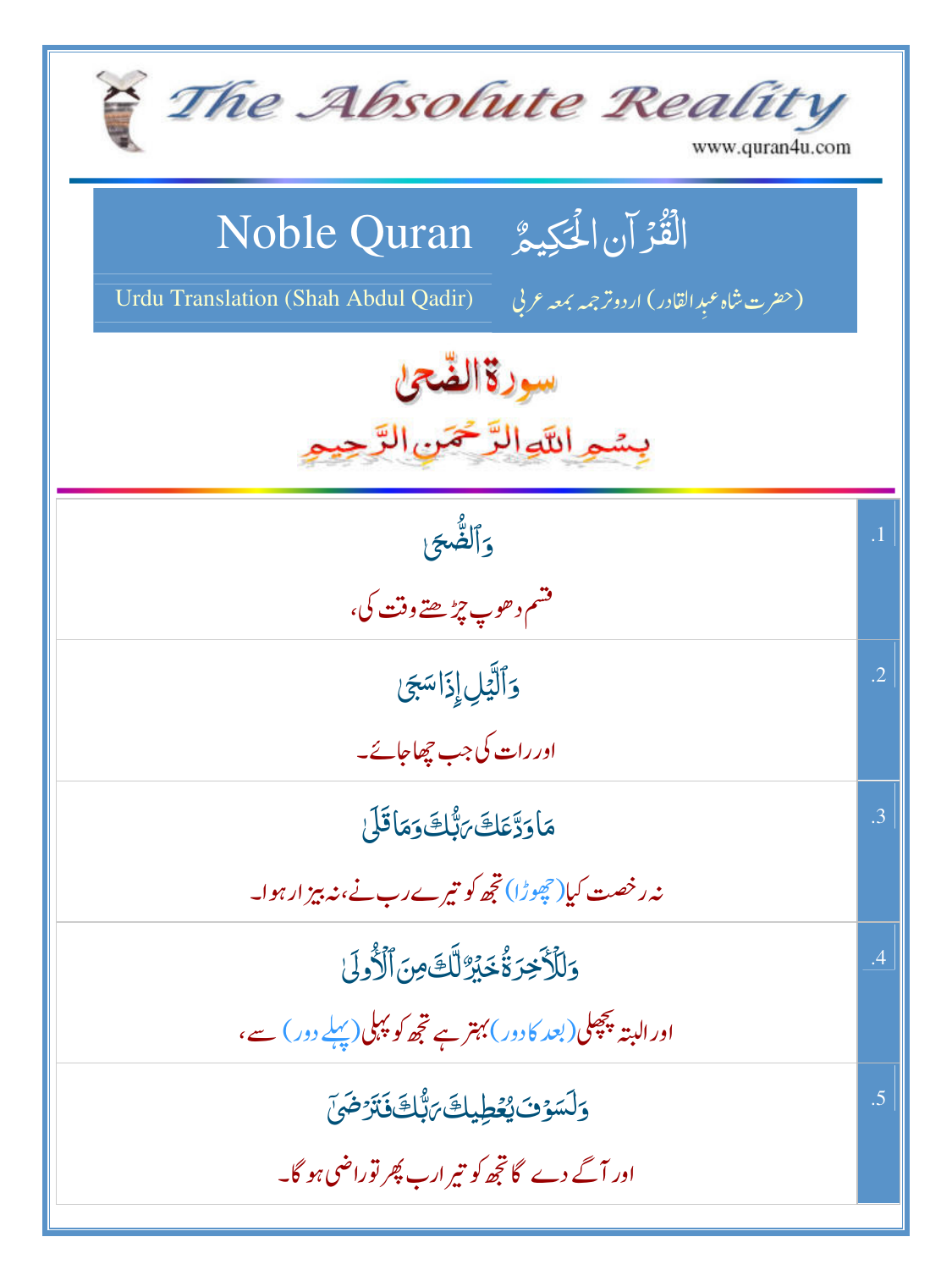| The Absolute Reality<br>www.quran4u.com                                                                                       |            |
|-------------------------------------------------------------------------------------------------------------------------------|------------|
| الْقُرْآنِ الْحَكِيمُ Noble Quran<br>Urdu Translation (Shah Abdul Qadir)<br>(حضرت شاه عبد القادر) اردوتر <i>جمه</i> بمعه عربي |            |
| سورةالضحن<br>بسمواللوالرخمن                                                                                                   |            |
| وألصُّحَ<br>۔<br>مشم د حوپ چ <sup>ر</sup> ُ ھتے وقت کی،                                                                       | $\cdot$ 1  |
| وَٱلَّيۡلِ إِذَاسَجَىٰ<br>اور رات کی جب چھاجائے۔                                                                              | $\cdot$ .2 |
| مَاوَدَّعَكَ بَيُّكَ وَمَاقَلَ<br>نہ رخصت کیا( چھوڑا) تجھ کو تیرے رب نے،ند بیز ارہوا۔                                         | .3         |
| وَلِلْأَخِرَةُ خَيْرٌ لَّكَ مِنَ ٱلْأَوِلَىٰ<br>اور البتہ پچھلی(بعد کارور) بہتر ہے تجھ کو پہلی(پہلے دور) سے،                  | .4         |
| <u>و</u> َلَسَوْفَ يُعُطِيكَ بَبُّكَ فَتَرْضَىَ<br>اور آگے دے گا تجھ کو تیر ارب پھر توراضی ہو گا۔                             | .5         |